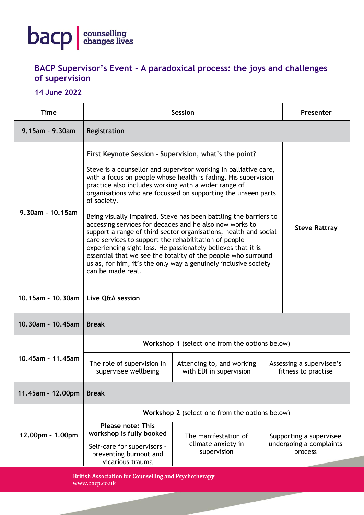

## **BACP Supervisor's Event - A paradoxical process: the joys and challenges of supervision**

## **14 June 2022**

| <b>Time</b>           | <b>Session</b>                                                                                                                                                                                                                                                                                                                                                                                                                                                                    |                                                           |  | Presenter                                                     |  |  |
|-----------------------|-----------------------------------------------------------------------------------------------------------------------------------------------------------------------------------------------------------------------------------------------------------------------------------------------------------------------------------------------------------------------------------------------------------------------------------------------------------------------------------|-----------------------------------------------------------|--|---------------------------------------------------------------|--|--|
| $9.15$ am - $9.30$ am | Registration                                                                                                                                                                                                                                                                                                                                                                                                                                                                      |                                                           |  |                                                               |  |  |
| 9.30am - 10.15am      | First Keynote Session - Supervision, what's the point?                                                                                                                                                                                                                                                                                                                                                                                                                            |                                                           |  |                                                               |  |  |
|                       | Steve is a counsellor and supervisor working in palliative care,<br>with a focus on people whose health is fading. His supervision<br>practice also includes working with a wider range of<br>organisations who are focussed on supporting the unseen parts<br>of society.                                                                                                                                                                                                        |                                                           |  |                                                               |  |  |
|                       | Being visually impaired, Steve has been battling the barriers to<br>accessing services for decades and he also now works to<br>support a range of third sector organisations, health and social<br>care services to support the rehabilitation of people<br>experiencing sight loss. He passionately believes that it is<br>essential that we see the totality of the people who surround<br>us as, for him, it's the only way a genuinely inclusive society<br>can be made real. |                                                           |  | <b>Steve Rattray</b>                                          |  |  |
| $10.15$ am - 10.30am  | Live Q&A session                                                                                                                                                                                                                                                                                                                                                                                                                                                                  |                                                           |  |                                                               |  |  |
| 10.30am - 10.45am     | <b>Break</b>                                                                                                                                                                                                                                                                                                                                                                                                                                                                      |                                                           |  |                                                               |  |  |
| 10.45am - 11.45am     | Workshop 1 (select one from the options below)                                                                                                                                                                                                                                                                                                                                                                                                                                    |                                                           |  |                                                               |  |  |
|                       | The role of supervision in<br>supervisee wellbeing                                                                                                                                                                                                                                                                                                                                                                                                                                | Attending to, and working<br>with EDI in supervision      |  | Assessing a supervisee's<br>fitness to practise               |  |  |
| 11.45am - 12.00pm     | <b>Break</b>                                                                                                                                                                                                                                                                                                                                                                                                                                                                      |                                                           |  |                                                               |  |  |
| 12.00pm - 1.00pm      | Workshop 2 (select one from the options below)                                                                                                                                                                                                                                                                                                                                                                                                                                    |                                                           |  |                                                               |  |  |
|                       | <b>Please note: This</b><br>workshop is fully booked<br>Self-care for supervisors -<br>preventing burnout and                                                                                                                                                                                                                                                                                                                                                                     | The manifestation of<br>climate anxiety in<br>supervision |  | Supporting a supervisee<br>undergoing a complaints<br>process |  |  |
|                       | vicarious trauma                                                                                                                                                                                                                                                                                                                                                                                                                                                                  |                                                           |  |                                                               |  |  |

British Association for Counselling and Psychotherapy www.bacp.co.uk